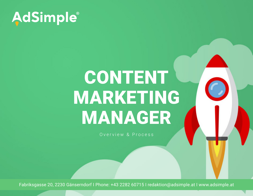

# CONTENT MARKETING MANAGER

Overview & Process

Fabriksgasse 20, 2230 Gänserndorf I Phone: +43 2282 60715 I redaktion@adsimple.at I www.adsimple.at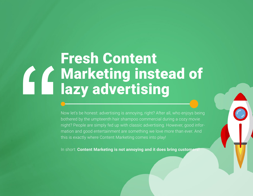## Fresh Content Marketing instead of lazy advertising

Now let's be honest: advertising is annoying, right? After all, who enjoys being bothered by the umpteenth hair shampoo commercial during a cozy movie night? People are simply fed up with classic advertising. However, good information and good entertainment are something we love more than ever. And this is exactly where Content Marketing comes into play!

In short: **Content Marketing is not annoying and it does bring customers**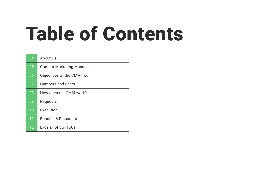# Table of Contents

| 04 | About Us                         |
|----|----------------------------------|
| 05 | <b>Content Marketing Manager</b> |
| 06 | Objectives of the CMM Tool       |
| 07 | <b>Numbers and Facts</b>         |
| 08 | How does the CMM work?           |
| 09 | Requests                         |
| 10 | Execution                        |
| 11 | <b>Bundles &amp; Discounts</b>   |
| 12 | Excerpt of our T&Cs              |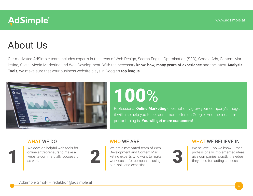### About Us

Our motivated AdSimple team includes experts in the areas of Web Design, Search Engine Optimisation (SEO), Google Ads, Content Marketing, Social Media Marketing and Web Development. With the necessary **know-how, many years of experience** and the latest **Analysis Tools**, we make sure that your business website plays in Google's **top league**.



## 100%

Professional **Online Marketing** does not only grow your company's image, it will also help you to be found more often on Google. And the most important thing is: **You will get more customers!**

#### WHAT WE DO

We develop helpful web tools for For the entrepreneurs to make a website commercially successful as well.



#### WHO WE ARE

We are a motivated team of Web Development and Content Marketing experts who want to make We are a monvated team of Web<br>Development and Content Marketing experts who want to make<br>work easier for companies using<br>our tools and expertise. our tools and expertise.

#### WHAT WE BELIEVE IN

We believe – no we know – that professionally implemented ideas<br>give companies exactly the edge<br>they need for lasting success.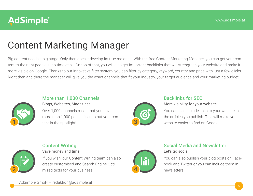### Content Marketing Manager

Big content needs a big stage. Only then does it develop its true radiance. With the free Content Marketing Manager, you can get your content to the right people in no time at all. On top of that, you will also get important backlinks that will strengthen your website and make it more visible on Google. Thanks to our innovative filter system, you can filter by category, keyword, country and price with just a few clicks. Right then and there the manager will give you the exact channels that fit your industry, your target audience and your marketing budget.



#### More than 1,000 Channels Blogs, Websites, Magazines

Over 1,000 channels mean that you have more than 1,000 possibilities to put your content in the spotlight!



### Backlinks for SEO

More visibility for your website

You can also include links to your website in the articles you publish. This will make your website easier to find on Google.



#### Content Writing

Save money and time

If you wish, our Content Writing team can also create customised and Search Engine Optiand texts for your business.



#### Social Media and Newsletter Let's go social!

You can also publish your blog posts on Facebook and Twitter or you can include them in

AdSimple GmbH – redaktion@adsimple.at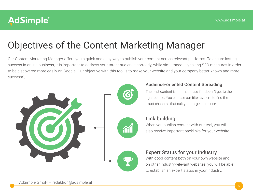### Objectives of the Content Marketing Manager

Our Content Marketing Manager offers you a quick and easy way to publish your content across relevant platforms. To ensure lasting success in online business, it is important to address your target audience correctly, while simultaneously taking SEO measures in order to be discovered more easily on Google. Our objective with this tool is to make your website and your company better known and more successful.





The best content is not much use if it doesn't get to the right people. You can use our filter system to find the exact channels that suit your target audience.



#### Link building

When you publish content with our tool, you will also receive important backlinks for your website.



#### Expert Status for your Industry

With good content both on your own website and on other industry-relevant websites, you will be able to establish an expert status in your industry.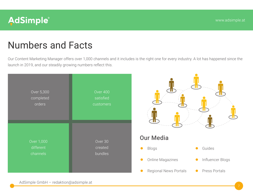

### Numbers and Facts

Our Content Marketing Manager offers over 1,000 channels and it includes is the right one for every industry. A lot has happened since the launch in 2019, and our steadily growing numbers reflect this.

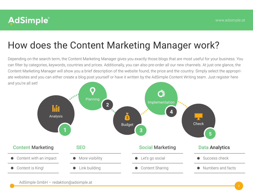### How does the Content Marketing Manager work?

Depending on the search term, the Content Marketing Manager gives you exactly those blogs that are most useful for your business. You can filter by categories, keywords, countries and prices. Additionally, you can also pre-order all our new channels. At just one glance, the Content Marketing Manager will show you a brief description of the website found, the price and the country. Simply select the appropriate websites and you can either create a blog post yourself or have it written by the AdSimple Content Writing team. Just register here and you're all set!

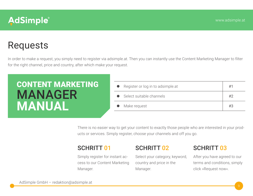### Requests

In order to make a request, you simply need to register via adsimple.at. Then you can instantly use the Content Marketing Manager to filter for the right channel, price and country, after which make your request.

| <b>CONTENT MARKETING</b> | • Register or log in to adsimple.at | #1 |
|--------------------------|-------------------------------------|----|
| <b>MANAGER</b>           | • Select suitable channels          | #2 |
| <b>MANUAL</b>            | • Make request                      | #3 |

There is no easier way to get your content to exactly those people who are interested in your products or services. Simply register, choose your channels and off you go.

### SCHRITT 01 SCHRITT 02 SCHRITT 03

Simply register for instant access to our Content Marketing Manager.

Select your category, keyword, country and price in the Manager.

After you have agreed to our terms and conditions, simply click »Request now«.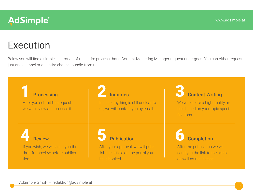### Execution

Below you will find a simple illustration of the entire process that a Content Marketing Manager request undergoes. You can either request just one channel or an entire channel bundle from us.

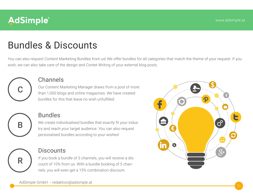## Bundles & Discounts

You can also request Content Marketing Bundles from us! We offer bundles for all categories that match the theme of your request. If you wish, we can also take care of the design and Contet Writing of your external blog posts.



#### Channels

Our Content Marketing Manager draws from a pool of more than 1,000 blogs and online magazines. We have created bundles for this that leave no wish unfulfilled.



R

#### Bundles

We create individualised bundles that exactly fit your industry and reach your target audience. You can also request personalised bundles according to your wishes!

### **Discounts**

If you book a bundle of 3 channels, you will receive a discount of 10% from us. With a bundle booking of 5 channels, you will even get a 15% combination discount.